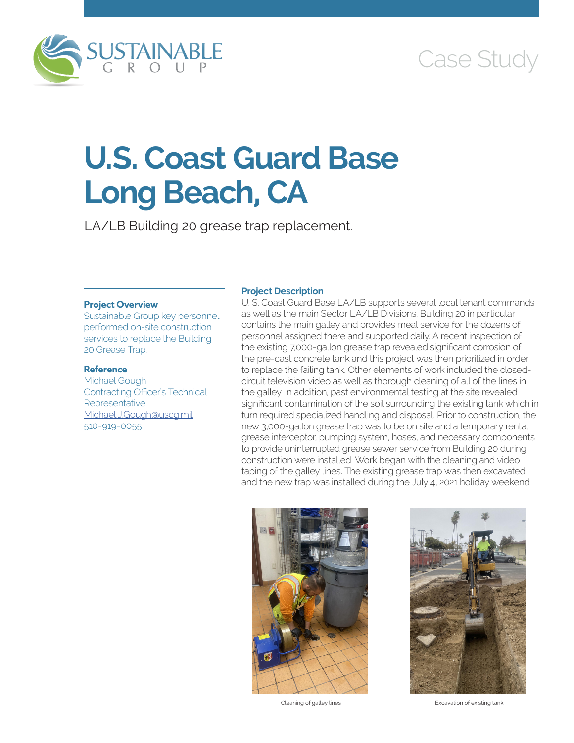

# Case Study

# **U.S. Coast Guard Base Long Beach, CA**

LA/LB Building 20 grease trap replacement.

### **Project Overview**

Sustainable Group key personnel performed on-site construction services to replace the Building 20 Grease Trap.

## **Reference**

Michael Gough Contracting Officer's Technical **Representative** [Michael.J.Gough@uscg.mil](mailto:Michael.J.Gough@uscg.mil) 510-919-0055

### **Project Description**

U. S. Coast Guard Base LA/LB supports several local tenant commands as well as the main Sector LA/LB Divisions. Building 20 in particular contains the main galley and provides meal service for the dozens of personnel assigned there and supported daily. A recent inspection of the existing 7,000-gallon grease trap revealed significant corrosion of the pre-cast concrete tank and this project was then prioritized in order to replace the failing tank. Other elements of work included the closedcircuit television video as well as thorough cleaning of all of the lines in the galley. In addition, past environmental testing at the site revealed significant contamination of the soil surrounding the existing tank which in turn required specialized handling and disposal. Prior to construction, the new 3,000-gallon grease trap was to be on site and a temporary rental grease interceptor, pumping system, hoses, and necessary components to provide uninterrupted grease sewer service from Building 20 during construction were installed. Work began with the cleaning and video taping of the galley lines. The existing grease trap was then excavated and the new trap was installed during the July 4, 2021 holiday weekend





Cleaning of galley lines **Excavation of existing tank**